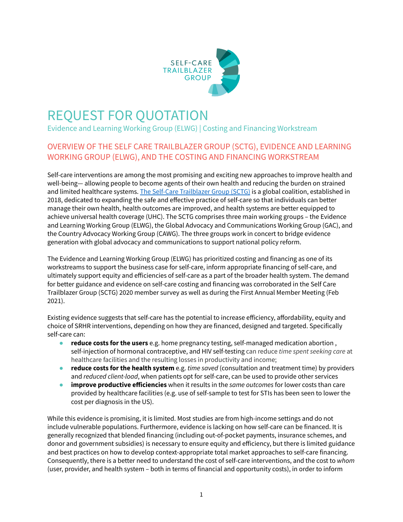

# REQUEST FOR QUOTATION

Evidence and Learning Working Group (ELWG) | Costing and Financing Workstream

# OVERVIEW OF THE SELF CARE TRAILBLAZER GROUP (SCTG), EVIDENCE AND LEARNING WORKING GROUP (ELWG), AND THE COSTING AND FINANCING WORKSTREAM

Self-care interventions are among the most promising and exciting new approaches to improve health and well-being— allowing people to become agents of their own health and reducing the burden on strained and limited healthcare systems. The Self-Care [Trailblazer](https://www.psi.org/project/self-care/) Group (SCTG) is a global coalition, established in 2018, dedicated to expanding the safe and effective practice of self-care so that individuals can better manage their own health, health outcomes are improved, and health systems are better equipped to achieve universal health coverage (UHC). The SCTG comprises three main working groups – the Evidence and Learning Working Group (ELWG), the Global Advocacy and Communications Working Group (GAC), and the Country Advocacy Working Group (CAWG). The three groups work in concert to bridge evidence generation with global advocacy and communications to support national policy reform.

The Evidence and Learning Working Group (ELWG) has prioritized costing and financing as one of its workstreams to support the business case for self-care, inform appropriate financing of self-care, and ultimately support equity and efficiencies of self-care as a part of the broader health system. The demand for better guidance and evidence on self-care costing and financing was corroborated in the Self Care Trailblazer Group (SCTG) 2020 member survey as well as during the First Annual Member Meeting (Feb 2021).

Existing evidence suggests that self-care has the potential to increase efficiency, affordability, equity and choice of SRHR interventions, depending on how they are financed, designed and targeted. Specifically self-care can:

- **reduce costs for the users** e.g. home pregnancy testing, self-managed medication abortion , self-injection of hormonal contraceptive, and HIV self-testing can reduce *time spent seeking care* at healthcare facilities and the resulting losses in productivity and income;
- *●* **reduce costs for the health system** e.g. *time saved* (consultation and treatment time) by providers and *reduced client-load*, when patients opt for self-care, can be used to provide other services
- **improve productive efficiencies** when it results in the *same outcomes* for lower costs than care provided by healthcare facilities (e.g. use of self-sample to test for STIs has been seen to lower the cost per diagnosis in the US).

While this evidence is promising, it is limited. Most studies are from high-income settings and do not include vulnerable populations. Furthermore, evidence is lacking on how self-care can be financed. It is generally recognized that blended financing (including out-of-pocket payments, insurance schemes, and donor and government subsidies) is necessary to ensure equity and efficiency, but there is limited guidance and best practices on how to develop context-appropriate total market approaches to self-care financing. Consequently, there is a better need to understand the cost of self-care interventions, and the cost to *whom* (user, provider, and health system – both in terms of financial and opportunity costs), in order to inform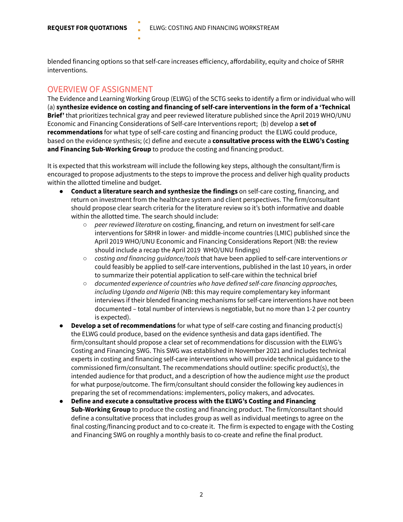blended financing options so that self-care increases efficiency, affordability, equity and choice of SRHR interventions.

#### OVERVIEW OF ASSIGNMENT

The Evidence and Learning Working Group (ELWG) of the SCTG seeks to identify a firm or individual who will (a) **synthesize evidence on costing and financing of self-care interventions in the form of a 'Technical Brief'** that prioritizes technical gray and peer reviewed literature published since the April 2019 WHO/UNU Economic and Financing Considerations of Self-care Interventions report; (b) develop a **set of recommendations** for what type of self-care costing and financing product the ELWG could produce, based on the evidence synthesis; (c) define and execute a **consultative process with the ELWG's Costing and Financing Sub-Working Group** to produce the costing and financing product.

It is expected that this workstream will include the following key steps, although the consultant/firm is encouraged to propose adjustments to the steps to improve the process and deliver high quality products within the allotted timeline and budget.

- **Conduct a literature search and synthesize the findings** on self-care costing, financing, and return on investment from the healthcare system and client perspectives. The firm/consultant should propose clear search criteria for the literature review so it's both informative and doable within the allotted time. The search should include:
	- *peer reviewed literature* on costing, financing, and return on investment for self-care interventions for SRHR in lower- and middle-income countries (LMIC) published since the April 2019 WHO/UNU Economic and Financing Considerations Report (NB: the review should include a recap the April 2019 WHO/UNU findings)
	- *costing and financing guidance/tools* that have been applied to self-care interventions *or* could feasibly be applied to self-care interventions, published in the last 10 years, in order to summarize their potential application to self-care within the technical brief
	- *documented experience of countries who have defined self-care financing approaches, including Uganda and Nigeria* (NB: this may require complementary key informant interviews if their blended financing mechanisms for self-care interventions have not been documented – total number of interviews is negotiable, but no more than 1-2 per country is expected).
- **Develop a set of recommendations** for what type of self-care costing and financing product(s) the ELWG could produce, based on the evidence synthesis and data gaps identified. The firm/consultant should propose a clear set of recommendations for discussion with the ELWG's Costing and Financing SWG. This SWG was established in November 2021 and includes technical experts in costing and financing self-care interventions who will provide technical guidance to the commissioned firm/consultant. The recommendations should outline: specific product(s), the intended audience for that product, and a description of how the audience might *use* the product for what purpose/outcome. The firm/consultant should consider the following key audiences in preparing the set of recommendations: implementers, policy makers, and advocates.
- **Define and execute a consultative process with the ELWG's Costing and Financing Sub-Working Group** to produce the costing and financing product. The firm/consultant should define a consultative process that includes group as well as individual meetings to agree on the final costing/financing product and to co-create it. The firm is expected to engage with the Costing and Financing SWG on roughly a monthly basis to co-create and refine the final product.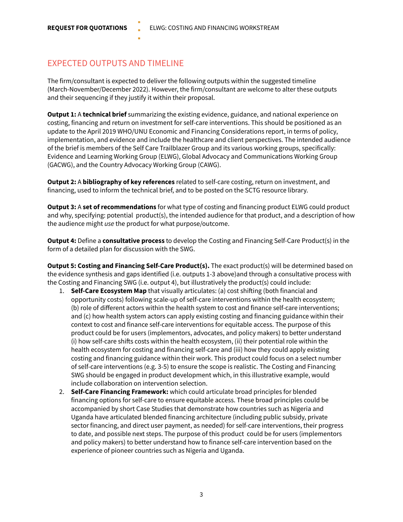### EXPECTED OUTPUTS AND TIMELINE

The firm/consultant is expected to deliver the following outputs within the suggested timeline (March-November/December 2022). However, the firm/consultant are welcome to alter these outputs and their sequencing if they justify it within their proposal.

**Output 1:** A **technical brief** summarizing the existing evidence, guidance, and national experience on costing, financing and return on investment for self-care interventions. This should be positioned as an update to the April 2019 WHO/UNU Economic and Financing Considerations report, in terms of policy, implementation, and evidence and include the healthcare and client perspectives. The intended audience of the brief is members of the Self Care Trailblazer Group and its various working groups, specifically: Evidence and Learning Working Group (ELWG), Global Advocacy and Communications Working Group (GACWG), and the Country Advocacy Working Group (CAWG).

**Output 2:** A **bibliography of key references** related to self-care costing, return on investment, and financing, used to inform the technical brief, and to be posted on the SCTG resource library.

**Output 3:** A **set of recommendations** for what type of costing and financing product ELWG could product and why, specifying: potential product(s), the intended audience for that product, and a description of how the audience might *use* the product for what purpose/outcome.

**Output 4:** Define a **consultative process** to develop the Costing and Financing Self-Care Product(s) in the form of a detailed plan for discussion with the SWG.

**Output 5: Costing and Financing Self-Care Product(s).** The exact product(s) will be determined based on the evidence synthesis and gaps identified (i.e. outputs 1-3 above)and through a consultative process with the Costing and Financing SWG (i.e. output 4), but illustratively the product(s) could include:

- 1. **Self-Care Ecosystem Map** that visually articulates: (a) cost shifting (both financial and opportunity costs) following scale-up of self-care interventions within the health ecosystem; (b) role of different actors within the health system to cost and finance self-care interventions; and (c) how health system actors can apply existing costing and financing guidance within their context to cost and finance self-care interventions for equitable access. The purpose of this product could be for users (implementors, advocates, and policy makers) to better understand (i) how self-care shifts costs within the health ecosystem, (ii) their potential role within the health ecosystem for costing and financing self-care and (iii) how they could apply existing costing and financing guidance within their work. This product could focus on a select number of self-care interventions (e.g. 3-5) to ensure the scope is realistic. The Costing and Financing SWG should be engaged in product development which, in this illustrative example, would include collaboration on intervention selection.
- 2. **Self-Care Financing Framework:** which could articulate broad principles for blended financing options for self-care to ensure equitable access. These broad principles could be accompanied by short Case Studies that demonstrate how countries such as Nigeria and Uganda have articulated blended financing architecture (including public subsidy, private sector financing, and direct user payment, as needed) for self-care interventions, their progress to date, and possible next steps. The purpose of this product could be for users (implementors and policy makers) to better understand how to finance self-care intervention based on the experience of pioneer countries such as Nigeria and Uganda.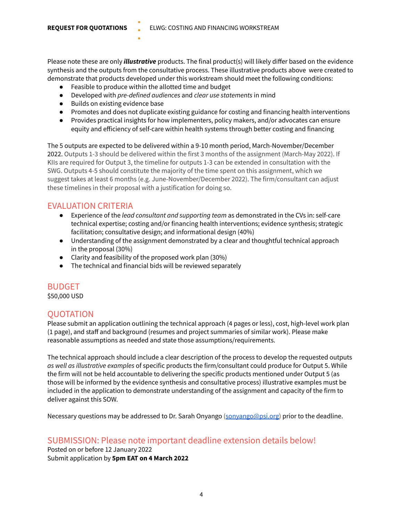Please note these are only *illustrative* products. The final product(s) will likely differ based on the evidence synthesis and the outputs from the consultative process. These illustrative products above were created to demonstrate that products developed under this workstream should meet the following conditions:

- Feasible to produce within the allotted time and budget
- Developed with *pre-defined audiences* and *clear use statements* in mind
- Builds on existing evidence base
- Promotes and does not duplicate existing guidance for costing and financing health interventions
- Provides practical insights for how implementers, policy makers, and/or advocates can ensure equity and efficiency of self-care within health systems through better costing and financing

The 5 outputs are expected to be delivered within a 9-10 month period, March-November/December 2022. Outputs 1-3 should be delivered within the first 3 months of the assignment (March-May 2022). If KIIs are required for Output 3, the timeline for outputs 1-3 can be extended in consultation with the SWG. Outputs 4-5 should constitute the majority of the time spent on this assignment, which we suggest takes at least 6 months (e.g. June-November/December 2022). The firm/consultant can adjust these timelines in their proposal with a justification for doing so.

#### EVALUATION CRITERIA

- Experience of the *lead consultant and supporting team* as demonstrated in the CVs in: self-care technical expertise; costing and/or financing health interventions; evidence synthesis; strategic facilitation; consultative design; and informational design (40%)
- Understanding of the assignment demonstrated by a clear and thoughtful technical approach in the proposal (30%)
- Clarity and feasibility of the proposed work plan (30%)
- The technical and financial bids will be reviewed separately

## BUDGET

\$50,000 USD

#### QUOTATION

Please submit an application outlining the technical approach (4 pages or less), cost, high-level work plan (1 page), and staff and background (resumes and project summaries of similar work). Please make reasonable assumptions as needed and state those assumptions/requirements.

The technical approach should include a clear description of the process to develop the requested outputs *as well as illustrative examples* of specific products the firm/consultant could produce for Output 5. While the firm will not be held accountable to delivering the specific products mentioned under Output 5 (as those will be informed by the evidence synthesis and consultative process) illustrative examples must be included in the application to demonstrate understanding of the assignment and capacity of the firm to deliver against this SOW.

Necessary questions may be addressed to Dr. Sarah Onyango ([sonyango@psi.org](mailto:sonyango@psi.org)) prior to the deadline.

## SUBMISSION: Please note important deadline extension details below!

Posted on or before 12 January 2022 Submit application by **5pm EAT on 4 March 2022**